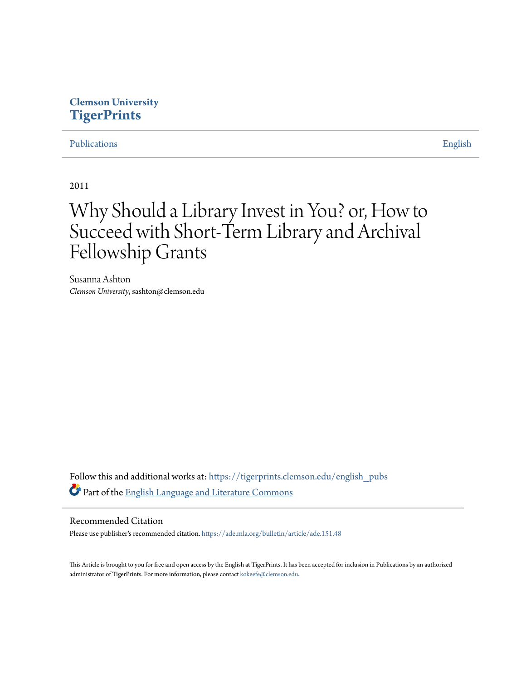### **Clemson University [TigerPrints](https://tigerprints.clemson.edu?utm_source=tigerprints.clemson.edu%2Fenglish_pubs%2F10&utm_medium=PDF&utm_campaign=PDFCoverPages)**

### [Publications](https://tigerprints.clemson.edu/english_pubs?utm_source=tigerprints.clemson.edu%2Fenglish_pubs%2F10&utm_medium=PDF&utm_campaign=PDFCoverPages) [English](https://tigerprints.clemson.edu/english?utm_source=tigerprints.clemson.edu%2Fenglish_pubs%2F10&utm_medium=PDF&utm_campaign=PDFCoverPages)

2011

## Why Should a Library Invest in You? or, How to Succeed with Short-Term Library and Archival Fellowship Grants

Susanna Ashton *Clemson University*, sashton@clemson.edu

Follow this and additional works at: [https://tigerprints.clemson.edu/english\\_pubs](https://tigerprints.clemson.edu/english_pubs?utm_source=tigerprints.clemson.edu%2Fenglish_pubs%2F10&utm_medium=PDF&utm_campaign=PDFCoverPages) Part of the [English Language and Literature Commons](http://network.bepress.com/hgg/discipline/455?utm_source=tigerprints.clemson.edu%2Fenglish_pubs%2F10&utm_medium=PDF&utm_campaign=PDFCoverPages)

### Recommended Citation

Please use publisher's recommended citation. <https://ade.mla.org/bulletin/article/ade.151.48>

This Article is brought to you for free and open access by the English at TigerPrints. It has been accepted for inclusion in Publications by an authorized administrator of TigerPrints. For more information, please contact [kokeefe@clemson.edu](mailto:kokeefe@clemson.edu).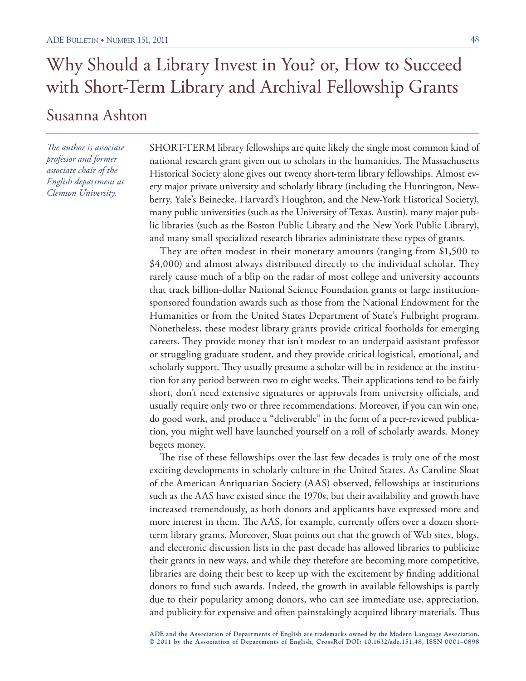*The author is associate professor and former associate chair of the English department at Clemson University.*

SHORT-TERM library fellowships are quite likely the single most common kind of national research grant given out to scholars in the humanities. The Massachusetts Historical Society alone gives out twenty short-term library fellowships. Almost every major private university and scholarly library (including the Huntington, Newberry, Yale's Beinecke, Harvard's Houghton, and the New-York Historical Society), many public universities (such as the University of Texas, Austin), many major public libraries (such as the Boston Public Library and the New York Public Library), and many small specialized research libraries administrate these types of grants.

They are often modest in their monetary amounts (ranging from \$1,500 to \$4,000) and almost always distributed directly to the individual scholar. They rarely cause much of a blip on the radar of most college and university accounts that track billion-dollar National Science Foundation grants or large institutionsponsored foundation awards such as those from the National Endowment for the Humanities or from the United States Department of State's Fulbright program. Nonetheless, these modest library grants provide critical footholds for emerging careers. They provide money that isn't modest to an underpaid assistant professor or struggling graduate student, and they provide critical logistical, emotional, and scholarly support. They usually presume a scholar will be in residence at the institution for any period between two to eight weeks. Their applications tend to be fairly short, don't need extensive signatures or approvals from university officials, and usually require only two or three recommendations. Moreover, if you can win one, do good work, and produce a "deliverable" in the form of a peer-reviewed publication, you might well have launched yourself on a roll of scholarly awards. Money begets money.

The rise of these fellowships over the last few decades is truly one of the most exciting developments in scholarly culture in the United States. As Caroline Sloat of the American Antiquarian Society (AAS) observed, fellowships at institutions such as the AAS have existed since the 1970s, but their availability and growth have increased tremendously, as both donors and applicants have expressed more and more interest in them. The AAS, for example, currently offers over a dozen shortterm library grants. Moreover, Sloat points out that the growth of Web sites, blogs, and electronic discussion lists in the past decade has allowed libraries to publicize their grants in new ways, and while they therefore are becoming more competitive, libraries are doing their best to keep up with the excitement by finding additional donors to fund such awards. Indeed, the growth in available fellowships is partly due to their popularity among donors, who can see immediate use, appreciation, and publicity for expensive and often painstakingly acquired library materials. Thus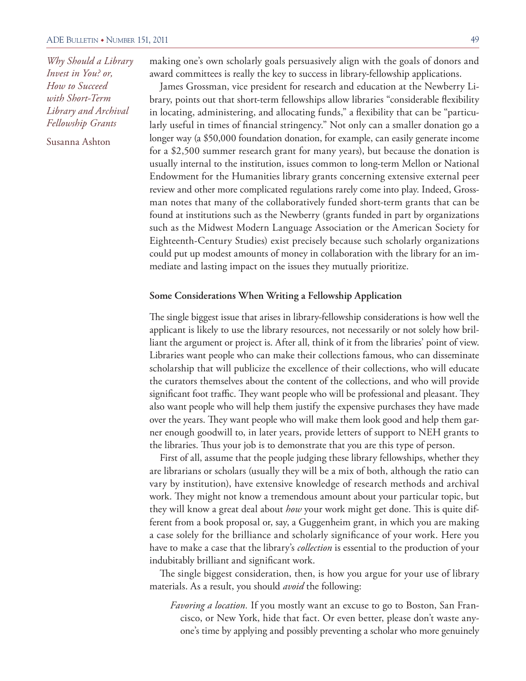Susanna Ashton

making one's own scholarly goals persuasively align with the goals of donors and award committees is really the key to success in library-fellowship applications.

James Grossman, vice president for research and education at the Newberry Library, points out that short-term fellowships allow libraries "considerable flexibility in locating, administering, and allocating funds," a flexibility that can be "particularly useful in times of financial stringency." Not only can a smaller donation go a longer way (a \$50,000 foundation donation, for example, can easily generate income for a \$2,500 summer research grant for many years), but because the donation is usually internal to the institution, issues common to long-term Mellon or National Endowment for the Humanities library grants concerning extensive external peer review and other more complicated regulations rarely come into play. Indeed, Grossman notes that many of the collaboratively funded short-term grants that can be found at institutions such as the Newberry (grants funded in part by organizations such as the Midwest Modern Language Association or the American Society for Eighteenth-Century Studies) exist precisely because such scholarly organizations could put up modest amounts of money in collaboration with the library for an immediate and lasting impact on the issues they mutually prioritize.

#### **Some Considerations When Writing a Fellowship Application**

The single biggest issue that arises in library-fellowship considerations is how well the applicant is likely to use the library resources, not necessarily or not solely how brilliant the argument or project is. After all, think of it from the libraries' point of view. Libraries want people who can make their collections famous, who can disseminate scholarship that will publicize the excellence of their collections, who will educate the curators themselves about the content of the collections, and who will provide significant foot traffic. They want people who will be professional and pleasant. They also want people who will help them justify the expensive purchases they have made over the years. They want people who will make them look good and help them garner enough goodwill to, in later years, provide letters of support to NEH grants to the libraries. Thus your job is to demonstrate that you are this type of person.

First of all, assume that the people judging these library fellowships, whether they are librarians or scholars (usually they will be a mix of both, although the ratio can vary by institution), have extensive knowledge of research methods and archival work. They might not know a tremendous amount about your particular topic, but they will know a great deal about *how* your work might get done. This is quite different from a book proposal or, say, a Guggenheim grant, in which you are making a case solely for the brilliance and scholarly significance of your work. Here you have to make a case that the library's *collection* is essential to the production of your indubitably brilliant and significant work.

The single biggest consideration, then, is how you argue for your use of library materials. As a result, you should *avoid* the following:

*Favoring a location.* If you mostly want an excuse to go to Boston, San Francisco, or New York, hide that fact. Or even better, please don't waste anyone's time by applying and possibly preventing a scholar who more genuinely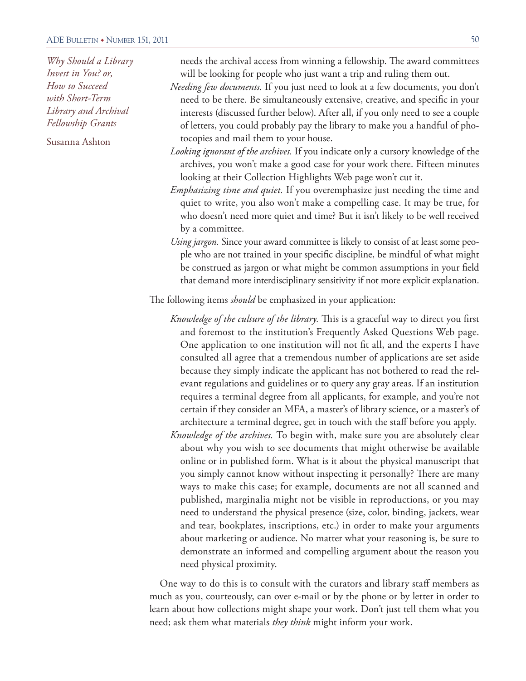Susanna Ashton

needs the archival access from winning a fellowship. The award committees will be looking for people who just want a trip and ruling them out.

- *Needing few documents.* If you just need to look at a few documents, you don't need to be there. Be simultaneously extensive, creative, and specific in your interests (discussed further below). After all, if you only need to see a couple of letters, you could probably pay the library to make you a handful of photocopies and mail them to your house.
- *Looking ignorant of the archives.* If you indicate only a cursory knowledge of the archives, you won't make a good case for your work there. Fifteen minutes looking at their Collection Highlights Web page won't cut it.
- *Emphasizing time and quiet.* If you overemphasize just needing the time and quiet to write, you also won't make a compelling case. It may be true, for who doesn't need more quiet and time? But it isn't likely to be well received by a committee.
- *Using jargon.* Since your award committee is likely to consist of at least some people who are not trained in your specific discipline, be mindful of what might be construed as jargon or what might be common assumptions in your field that demand more interdisciplinary sensitivity if not more explicit explanation.

The following items *should* be emphasized in your application:

- *Knowledge of the culture of the library.* This is a graceful way to direct you first and foremost to the institution's Frequently Asked Questions Web page. One application to one institution will not fit all, and the experts I have consulted all agree that a tremendous number of applications are set aside because they simply indicate the applicant has not bothered to read the relevant regulations and guidelines or to query any gray areas. If an institution requires a terminal degree from all applicants, for example, and you're not certain if they consider an MFA, a master's of library science, or a master's of architecture a terminal degree, get in touch with the staff before you apply.
- *Knowledge of the archives.* To begin with, make sure you are absolutely clear about why you wish to see documents that might otherwise be available online or in published form. What is it about the physical manuscript that you simply cannot know without inspecting it personally? There are many ways to make this case; for example, documents are not all scanned and published, marginalia might not be visible in reproductions, or you may need to understand the physical presence (size, color, binding, jackets, wear and tear, bookplates, inscriptions, etc.) in order to make your arguments about marketing or audience. No matter what your reasoning is, be sure to demonstrate an informed and compelling argument about the reason you need physical proximity.

One way to do this is to consult with the curators and library staff members as much as you, courteously, can over e-mail or by the phone or by letter in order to learn about how collections might shape your work. Don't just tell them what you need; ask them what materials *they think* might inform your work.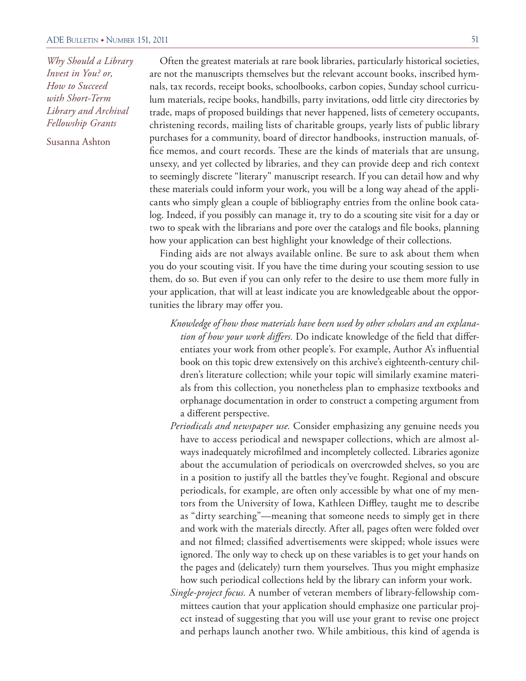Susanna Ashton

Often the greatest materials at rare book libraries, particularly historical societies, are not the manuscripts themselves but the relevant account books, inscribed hymnals, tax records, receipt books, schoolbooks, carbon copies, Sunday school curriculum materials, recipe books, handbills, party invitations, odd little city directories by trade, maps of proposed buildings that never happened, lists of cemetery occupants, christening records, mailing lists of charitable groups, yearly lists of public library purchases for a community, board of director handbooks, instruction manuals, office memos, and court records. These are the kinds of materials that are unsung, unsexy, and yet collected by libraries, and they can provide deep and rich context to seemingly discrete "literary" manuscript research. If you can detail how and why these materials could inform your work, you will be a long way ahead of the applicants who simply glean a couple of bibliography entries from the online book catalog. Indeed, if you possibly can manage it, try to do a scouting site visit for a day or two to speak with the librarians and pore over the catalogs and file books, planning how your application can best highlight your knowledge of their collections.

Finding aids are not always available online. Be sure to ask about them when you do your scouting visit. If you have the time during your scouting session to use them, do so. But even if you can only refer to the desire to use them more fully in your application, that will at least indicate you are knowledgeable about the opportunities the library may offer you.

- *Knowledge of how those materials have been used by other scholars and an explanation of how your work differs.* Do indicate knowledge of the field that differentiates your work from other people's. For example, Author A's influential book on this topic drew extensively on this archive's eighteenth-century children's literature collection; while your topic will similarly examine materials from this collection, you nonetheless plan to emphasize textbooks and orphanage documentation in order to construct a competing argument from a different perspective.
- *Periodicals and newspaper use.* Consider emphasizing any genuine needs you have to access periodical and newspaper collections, which are almost always inadequately microfilmed and incompletely collected. Libraries agonize about the accumulation of periodicals on overcrowded shelves, so you are in a position to justify all the battles they've fought. Regional and obscure periodicals, for example, are often only accessible by what one of my mentors from the University of Iowa, Kathleen Diffley, taught me to describe as "dirty searching"—meaning that someone needs to simply get in there and work with the materials directly. After all, pages often were folded over and not filmed; classified advertisements were skipped; whole issues were ignored. The only way to check up on these variables is to get your hands on the pages and (delicately) turn them yourselves. Thus you might emphasize how such periodical collections held by the library can inform your work.
- *Single-project focus.* A number of veteran members of library-fellowship committees caution that your application should emphasize one particular project instead of suggesting that you will use your grant to revise one project and perhaps launch another two. While ambitious, this kind of agenda is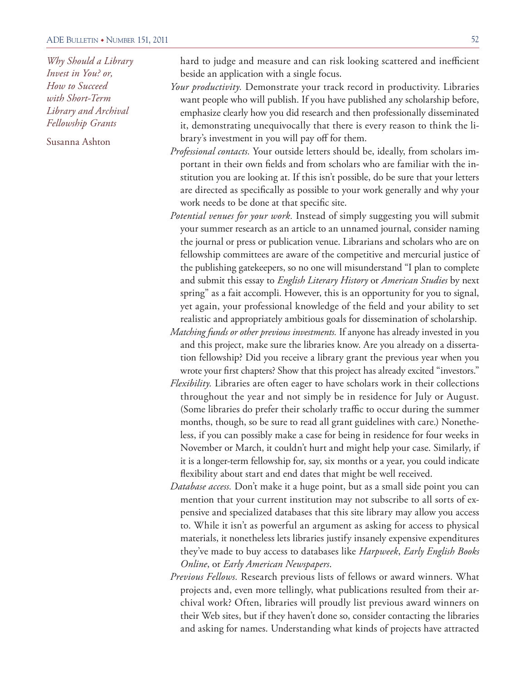Susanna Ashton

hard to judge and measure and can risk looking scattered and inefficient beside an application with a single focus.

- *Your productivity.* Demonstrate your track record in productivity. Libraries want people who will publish. If you have published any scholarship before, emphasize clearly how you did research and then professionally disseminated it, demonstrating unequivocally that there is every reason to think the library's investment in you will pay off for them.
- *Professional contacts.* Your outside letters should be, ideally, from scholars important in their own fields and from scholars who are familiar with the institution you are looking at. If this isn't possible, do be sure that your letters are directed as specifically as possible to your work generally and why your work needs to be done at that specific site.
- *Potential venues for your work.* Instead of simply suggesting you will submit your summer research as an article to an unnamed journal, consider naming the journal or press or publication venue. Librarians and scholars who are on fellowship committees are aware of the competitive and mercurial justice of the publishing gatekeepers, so no one will misunderstand "I plan to complete and submit this essay to *English Literary History* or *American Studies* by next spring" as a fait accompli. However, this is an opportunity for you to signal, yet again, your professional knowledge of the field and your ability to set realistic and appropriately ambitious goals for dissemination of scholarship.
- *Matching funds or other previous investments.* If anyone has already invested in you and this project, make sure the libraries know. Are you already on a dissertation fellowship? Did you receive a library grant the previous year when you wrote your first chapters? Show that this project has already excited "investors."
- *Flexibility.* Libraries are often eager to have scholars work in their collections throughout the year and not simply be in residence for July or August. (Some libraries do prefer their scholarly traffic to occur during the summer months, though, so be sure to read all grant guidelines with care.) Nonetheless, if you can possibly make a case for being in residence for four weeks in November or March, it couldn't hurt and might help your case. Similarly, if it is a longer-term fellowship for, say, six months or a year, you could indicate flexibility about start and end dates that might be well received.
- *Database access.* Don't make it a huge point, but as a small side point you can mention that your current institution may not subscribe to all sorts of expensive and specialized databases that this site library may allow you access to. While it isn't as powerful an argument as asking for access to physical materials, it nonetheless lets libraries justify insanely expensive expenditures they've made to buy access to databases like *Harpweek*, *Early English Books Online*, or *Early American Newspapers*.
- *Previous Fellows.* Research previous lists of fellows or award winners. What projects and, even more tellingly, what publications resulted from their archival work? Often, libraries will proudly list previous award winners on their Web sites, but if they haven't done so, consider contacting the libraries and asking for names. Understanding what kinds of projects have attracted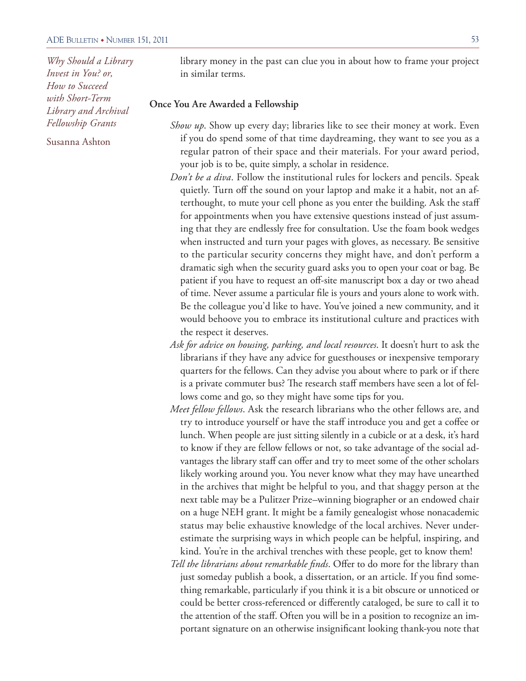Susanna Ashton

library money in the past can clue you in about how to frame your project in similar terms.

### **Once You Are Awarded a Fellowship**

- *Show up*. Show up every day; libraries like to see their money at work. Even if you do spend some of that time daydreaming, they want to see you as a regular patron of their space and their materials. For your award period, your job is to be, quite simply, a scholar in residence.
- *Don't be a diva*. Follow the institutional rules for lockers and pencils. Speak quietly. Turn off the sound on your laptop and make it a habit, not an afterthought, to mute your cell phone as you enter the building. Ask the staff for appointments when you have extensive questions instead of just assuming that they are endlessly free for consultation. Use the foam book wedges when instructed and turn your pages with gloves, as necessary. Be sensitive to the particular security concerns they might have, and don't perform a dramatic sigh when the security guard asks you to open your coat or bag. Be patient if you have to request an off-site manuscript box a day or two ahead of time. Never assume a particular file is yours and yours alone to work with. Be the colleague you'd like to have. You've joined a new community, and it would behoove you to embrace its institutional culture and practices with the respect it deserves.
- *Ask for advice on housing, parking, and local resources*. It doesn't hurt to ask the librarians if they have any advice for guesthouses or inexpensive temporary quarters for the fellows. Can they advise you about where to park or if there is a private commuter bus? The research staff members have seen a lot of fellows come and go, so they might have some tips for you.
- *Meet fellow fellows*. Ask the research librarians who the other fellows are, and try to introduce yourself or have the staff introduce you and get a coffee or lunch. When people are just sitting silently in a cubicle or at a desk, it's hard to know if they are fellow fellows or not, so take advantage of the social advantages the library staff can offer and try to meet some of the other scholars likely working around you. You never know what they may have unearthed in the archives that might be helpful to you, and that shaggy person at the next table may be a Pulitzer Prize–winning biographer or an endowed chair on a huge NEH grant. It might be a family genealogist whose nonacademic status may belie exhaustive knowledge of the local archives. Never underestimate the surprising ways in which people can be helpful, inspiring, and kind. You're in the archival trenches with these people, get to know them!
- *Tell the librarians about remarkable finds*. Offer to do more for the library than just someday publish a book, a dissertation, or an article. If you find something remarkable, particularly if you think it is a bit obscure or unnoticed or could be better cross-referenced or differently cataloged, be sure to call it to the attention of the staff. Often you will be in a position to recognize an important signature on an otherwise insignificant looking thank-you note that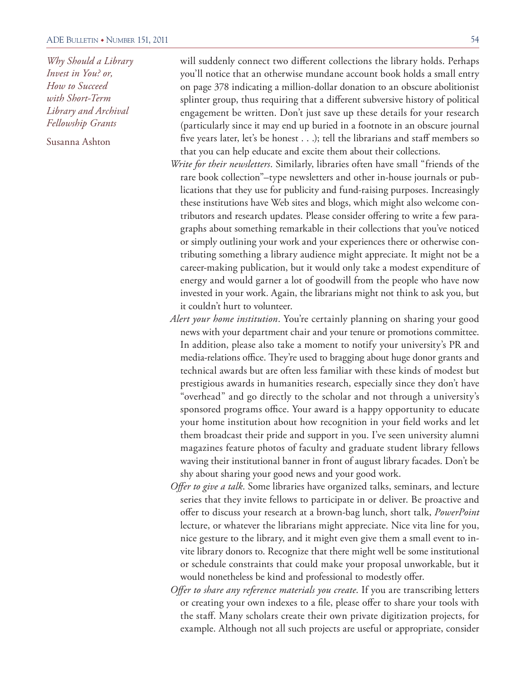Susanna Ashton

will suddenly connect two different collections the library holds. Perhaps you'll notice that an otherwise mundane account book holds a small entry on page 378 indicating a million-dollar donation to an obscure abolitionist splinter group, thus requiring that a different subversive history of political engagement be written. Don't just save up these details for your research (particularly since it may end up buried in a footnote in an obscure journal five years later, let's be honest . . .); tell the librarians and staff members so that you can help educate and excite them about their collections.

- *Write for their newsletters*. Similarly, libraries often have small "friends of the rare book collection"–type newsletters and other in-house journals or publications that they use for publicity and fund-raising purposes. Increasingly these institutions have Web sites and blogs, which might also welcome contributors and research updates. Please consider offering to write a few paragraphs about something remarkable in their collections that you've noticed or simply outlining your work and your experiences there or otherwise contributing something a library audience might appreciate. It might not be a career-making publication, but it would only take a modest expenditure of energy and would garner a lot of goodwill from the people who have now invested in your work. Again, the librarians might not think to ask you, but it couldn't hurt to volunteer.
- *Alert your home institution*. You're certainly planning on sharing your good news with your department chair and your tenure or promotions committee. In addition, please also take a moment to notify your university's PR and media-relations office. They're used to bragging about huge donor grants and technical awards but are often less familiar with these kinds of modest but prestigious awards in humanities research, especially since they don't have "overhead" and go directly to the scholar and not through a university's sponsored programs office. Your award is a happy opportunity to educate your home institution about how recognition in your field works and let them broadcast their pride and support in you. I've seen university alumni magazines feature photos of faculty and graduate student library fellows waving their institutional banner in front of august library facades. Don't be shy about sharing your good news and your good work.
- *Offer to give a talk*. Some libraries have organized talks, seminars, and lecture series that they invite fellows to participate in or deliver. Be proactive and offer to discuss your research at a brown-bag lunch, short talk, *PowerPoint* lecture, or whatever the librarians might appreciate. Nice vita line for you, nice gesture to the library, and it might even give them a small event to invite library donors to. Recognize that there might well be some institutional or schedule constraints that could make your proposal unworkable, but it would nonetheless be kind and professional to modestly offer.
- *Offer to share any reference materials you create*. If you are transcribing letters or creating your own indexes to a file, please offer to share your tools with the staff. Many scholars create their own private digitization projects, for example. Although not all such projects are useful or appropriate, consider